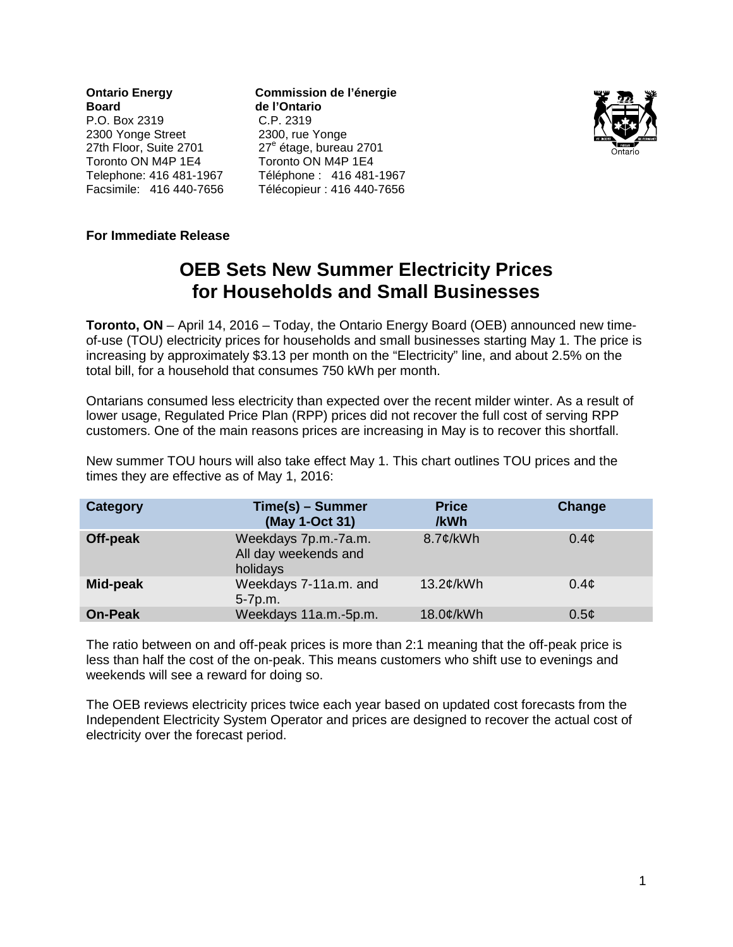**Ontario Energy Commission de l'énergie Board** de l'Ontario<br> **P.O.** Box 2319 C.P. 2319 P.O. Box 2319 C.P. 2319 2300 Yonge Street 27th Floor, Suite 2701 27<sup>e</sup> étage, bureau 2701 Toronto ON M4P 1E4 Toronto ON M4P 1E4<br>Telephone: 416 481-1967 Téléphone : 416 481-

Téléphone: 416 481-1967 Facsimile: 416 440-7656 Télécopieur : 416 440-7656



## **For Immediate Release**

# **OEB Sets New Summer Electricity Prices for Households and Small Businesses**

**Toronto, ON** – April 14, 2016 – Today, the Ontario Energy Board (OEB) announced new timeof-use (TOU) electricity prices for households and small businesses starting May 1. The price is increasing by approximately \$3.13 per month on the "Electricity" line, and about 2.5% on the total bill, for a household that consumes 750 kWh per month.

Ontarians consumed less electricity than expected over the recent milder winter. As a result of lower usage, Regulated Price Plan (RPP) prices did not recover the full cost of serving RPP customers. One of the main reasons prices are increasing in May is to recover this shortfall.

New summer TOU hours will also take effect May 1. This chart outlines TOU prices and the times they are effective as of May 1, 2016:

| Category       | Time(s) - Summer<br>(May 1-Oct 31)                       | <b>Price</b><br>/kWh | Change    |
|----------------|----------------------------------------------------------|----------------------|-----------|
| Off-peak       | Weekdays 7p.m.-7a.m.<br>All day weekends and<br>holidays | $8.7$ ¢/kWh          | $0.4\phi$ |
| Mid-peak       | Weekdays 7-11a.m. and<br>5-7p.m.                         | 13.2¢/kWh            | $0.4\phi$ |
| <b>On-Peak</b> | Weekdays 11a.m.-5p.m.                                    | 18.0¢/kWh            | $0.5\phi$ |

The ratio between on and off-peak prices is more than 2:1 meaning that the off-peak price is less than half the cost of the on-peak. This means customers who shift use to evenings and weekends will see a reward for doing so.

The OEB reviews electricity prices twice each year based on updated cost forecasts from the Independent Electricity System Operator and prices are designed to recover the actual cost of electricity over the forecast period.